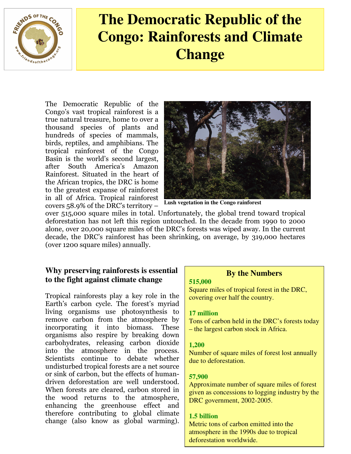

# **The Democratic Republic of the Congo: Rainforests and Climate Change**

The Democratic Republic of the Congo's vast tropical rainforest is a true natural treasure, home to over a thousand species of plants and hundreds of species of mammals, birds, reptiles, and amphibians. The tropical rainforest of the Congo Basin is the world's second largest, after South America's Amazon Rainforest. Situated in the heart of the African tropics, the DRC is home to the greatest expanse of rainforest in all of Africa. Tropical rainforest covers 58.9% of the DRC's territory –



**Lush vegetation in the Congo rainforest** 

over 515,000 square miles in total. Unfortunately, the global trend toward tropical deforestation has not left this region untouched. In the decade from 1990 to 2000 alone, over 20,000 square miles of the DRC's forests was wiped away. In the current decade, the DRC's rainforest has been shrinking, on average, by 319,000 hectares (over 1200 square miles) annually.

# **Why preserving rainforests is essential to the fight against climate change**

Tropical rainforests play a key role in the Earth's carbon cycle. The forest's myriad living organisms use photosynthesis to remove carbon from the atmosphere by incorporating it into biomass. These organisms also respire by breaking down carbohydrates, releasing carbon dioxide into the atmosphere in the process. Scientists continue to debate whether undisturbed tropical forests are a net source or sink of carbon, but the effects of humandriven deforestation are well understood. When forests are cleared, carbon stored in the wood returns to the atmosphere, enhancing the greenhouse effect and therefore contributing to global climate change (also know as global warming).

## **By the Numbers**

#### **515,000**

Square miles of tropical forest in the DRC, covering over half the country.

### **17 million**

Tons of carbon held in the DRC's forests today – the largest carbon stock in Africa.

### **1,200**

Number of square miles of forest lost annually due to deforestation.

## **57,900**

Approximate number of square miles of forest given as concessions to logging industry by the DRC government, 2002-2005.

## **1.5 billion**

Metric tons of carbon emitted into the atmosphere in the 1990s due to tropical deforestation worldwide.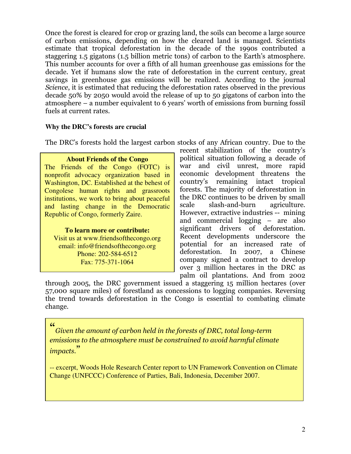Once the forest is cleared for crop or grazing land, the soils can become a large source of carbon emissions, depending on how the cleared land is managed. Scientists estimate that tropical deforestation in the decade of the 1990s contributed a staggering 1.5 gigatons (1.5 billion metric tons) of carbon to the Earth's atmosphere. This number accounts for over a fifth of all human greenhouse gas emissions for the decade. Yet if humans slow the rate of deforestation in the current century, great savings in greenhouse gas emissions will be realized. According to the journal Science, it is estimated that reducing the deforestation rates observed in the previous decade 50% by 2050 would avoid the release of up to 50 gigatons of carbon into the atmosphere – a number equivalent to 6 years' worth of emissions from burning fossil fuels at current rates.

#### **Why the DRC's forests are crucial**

The DRC's forests hold the largest carbon stocks of any African country. Due to the

**About Friends of the Congo**  The Friends of the Congo (FOTC) is nonprofit advocacy organization based in Washington, DC. Established at the behest of Congolese human rights and grassroots institutions, we work to bring about peaceful and lasting change in the Democratic Republic of Congo, formerly Zaire.

**To learn more or contribute:**  Visit us at www.friendsofthecongo.org email: info@friendsofthecongo.org Phone: 202-584-6512 Fax: 775-371-1064

recent stabilization of the country's political situation following a decade of war and civil unrest, more rapid economic development threatens the country's remaining intact tropical forests. The majority of deforestation in the DRC continues to be driven by small scale slash-and-burn agriculture. However, extractive industries -- mining and commercial logging – are also significant drivers of deforestation. Recent developments underscore the potential for an increased rate of deforestation. In 2007, a Chinese company signed a contract to develop over 3 million hectares in the DRC as palm oil plantations. And from 2002

through 2005, the DRC government issued a staggering 15 million hectares (over 57,000 square miles) of forestland as concessions to logging companies. Reversing the trend towards deforestation in the Congo is essential to combating climate change.

#### "

Given the amount of carbon held in the forests of DRC, total long-term emissions to the atmosphere must be constrained to avoid harmful climate impacts."

-- excerpt, Woods Hole Research Center report to UN Framework Convention on Climate Change (UNFCCC) Conference of Parties, Bali, Indonesia, December 2007.